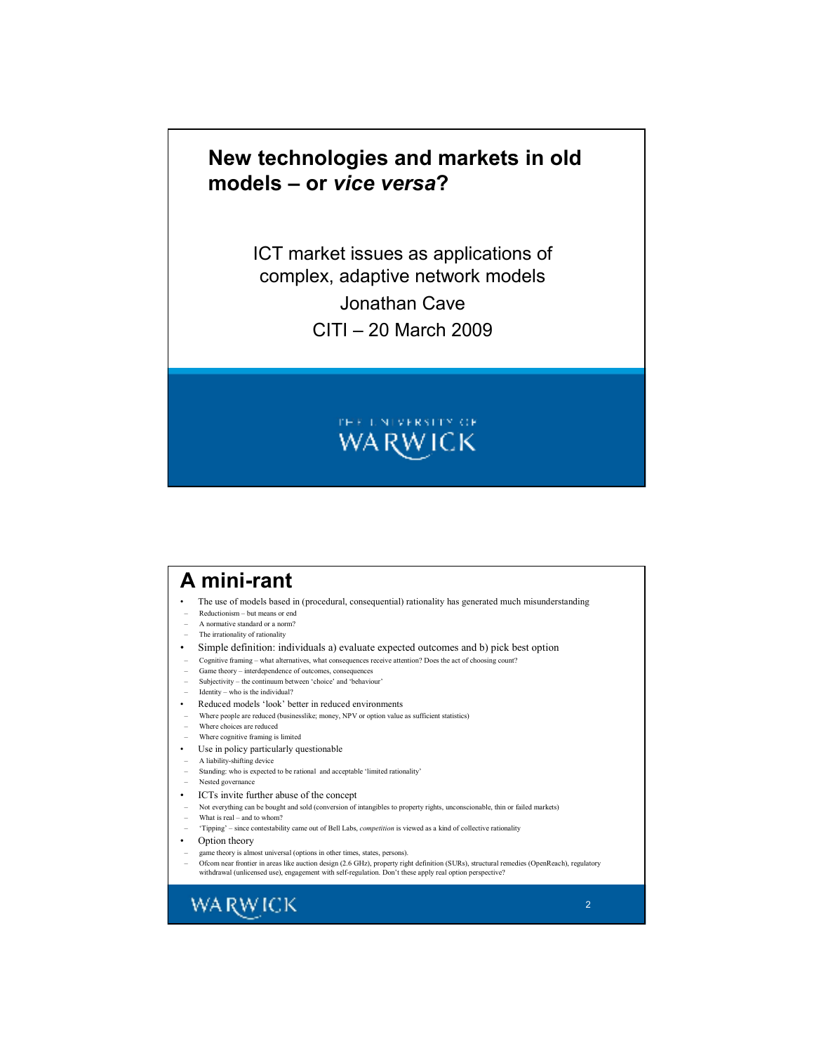# **New technologies and markets in old models – or** *vice versa***?**

ICT market issues as applications of complex, adaptive network models Jonathan Cave CITI – 20 March 2009



### **A mini-rant**

- The use of models based in (procedural, consequential) rationality has generated much misunderstanding
- Reductionism but means or end
- A normative standard or a norm? The irrationality of rationality
- Simple definition: individuals a) evaluate expected outcomes and b) pick best option
- Cognitive framing what alternatives, what consequences receive attention? Does the act of choosing count?
- Game theory interdependence of outcomes, consequences
- Subjectivity the continuum between 'choice' and 'behaviour'
- Identity who is the individual?
- Reduced models 'look' better in reduced environments
- Where people are reduced (businesslike; money, NPV or option value as sufficient statistics)
- Where choices are reduced
- Where cognitive framing is limited
- Use in policy particularly questionable
- A liability-shifting device
- Standing: who is expected to be rational and acceptable 'limited rationality'
- Nested governance
- ICTs invite further abuse of the concept
- Not everything can be bought and sold (conversion of intangibles to property rights, unconscionable, thin or failed markets)
- What is real and to whom?
- 'Tipping' since contestability came out of Bell Labs, *competition* is viewed as a kind of collective rationality
- Option theory
- game theory is almost universal (options in other times, states, persons).
- Ofcom near frontier in areas like auction design (2.6 GHz), property right definition (SURs), structural remedies (OpenReach), regulatory<br>withdrawal (unlicensed use), engagement with self-regulation. Don't these apply re

**WARWICK**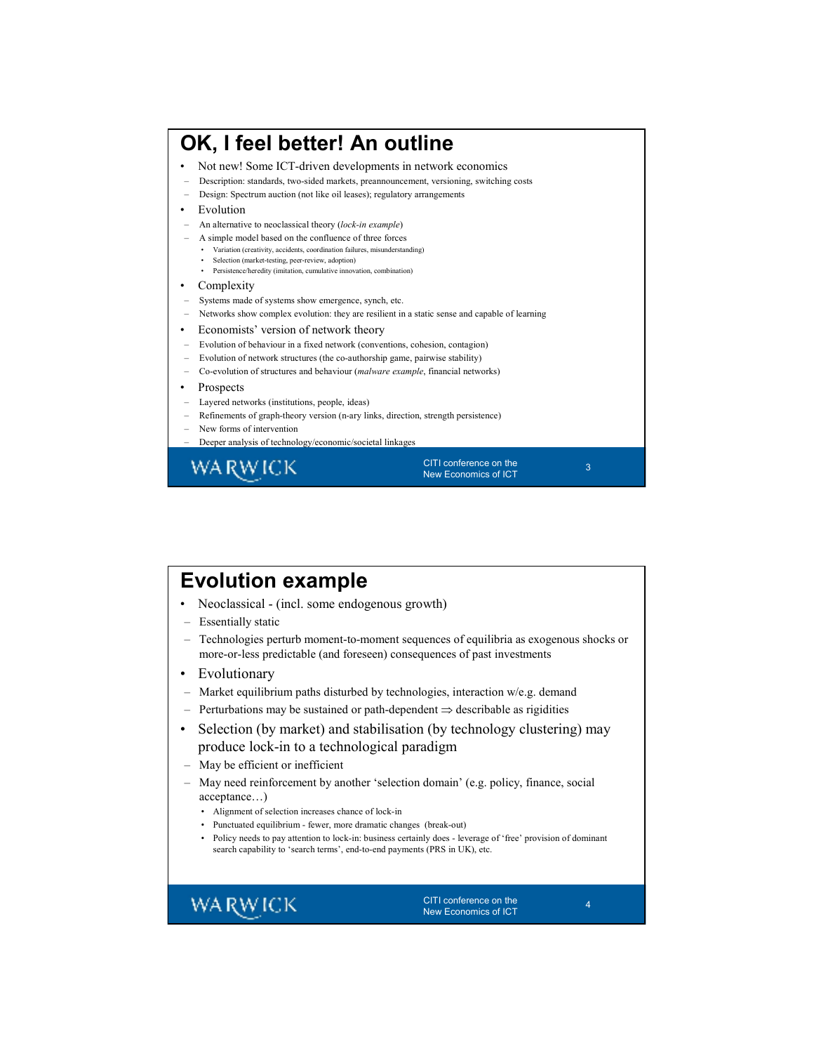#### **OK, I feel better! An outline** • Not new! Some ICT-driven developments in network economics – Description: standards, two-sided markets, preannouncement, versioning, switching costs – Design: Spectrum auction (not like oil leases); regulatory arrangements **Evolution** – An alternative to neoclassical theory (*lock-in example*) – A simple model based on the confluence of three forces • Variation (creativity, accidents, coordination failures, misunderstanding) • Selection (market-testing, peer-review, adoption) • Persistence/heredity (imitation, cumulative innovation, combination) **Complexity** – Systems made of systems show emergence, synch, etc. – Networks show complex evolution: they are resilient in a static sense and capable of learning • Economists' version of network theory – Evolution of behaviour in a fixed network (conventions, cohesion, contagion) – Evolution of network structures (the co-authorship game, pairwise stability) – Co-evolution of structures and behaviour (*malware example*, financial networks) **Prospects** – Layered networks (institutions, people, ideas) – Refinements of graph-theory version (n-ary links, direction, strength persistence) – New forms of intervention – Deeper analysis of technology/economic/societal linkages CITI conference on the WA RW ICK 3 New Economics of ICT

# **Evolution example**

- Neoclassical (incl. some endogenous growth)
- Essentially static
- Technologies perturb moment-to-moment sequences of equilibria as exogenous shocks or more-or-less predictable (and foreseen) consequences of past investments
- **Evolutionary**
- Market equilibrium paths disturbed by technologies, interaction w/e.g. demand
- Perturbations may be sustained or path-dependent ⇒ describable as rigidities
- Selection (by market) and stabilisation (by technology clustering) may produce lock-in to a technological paradigm
- May be efficient or inefficient
- May need reinforcement by another 'selection domain' (e.g. policy, finance, social acceptance…)
	- Alignment of selection increases chance of lock-in
	- Punctuated equilibrium fewer, more dramatic changes (break-out)
	- Policy needs to pay attention to lock-in: business certainly does leverage of 'free' provision of dominant search capability to 'search terms', end-to-end payments (PRS in UK), etc.

### **WARWICK**

CITI conference on the New Economics of ICT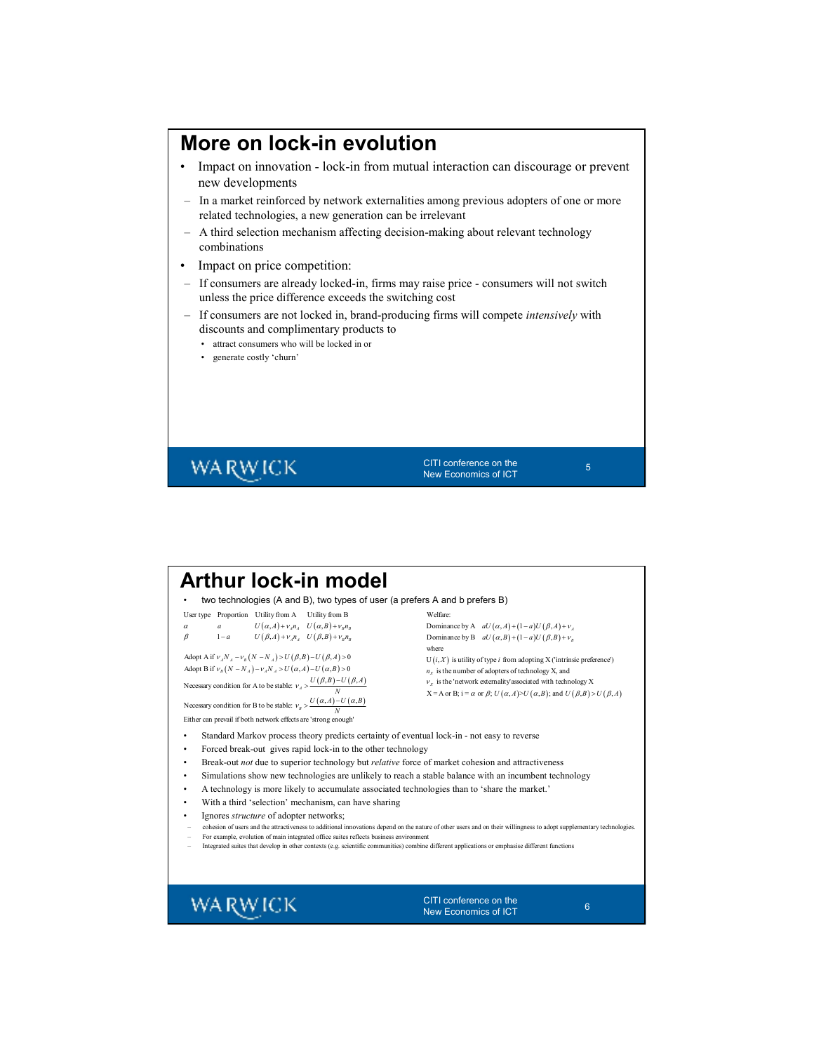### **More on lock-in evolution**

- Impact on innovation lock-in from mutual interaction can discourage or prevent new developments
- In a market reinforced by network externalities among previous adopters of one or more related technologies, a new generation can be irrelevant
- A third selection mechanism affecting decision-making about relevant technology combinations
- Impact on price competition:
- If consumers are already locked-in, firms may raise price consumers will not switch unless the price difference exceeds the switching cost
- If consumers are not locked in, brand-producing firms will compete *intensively* with discounts and complimentary products to
	- attract consumers who will be locked in or
	- generate costly 'churn'

# **WARWICK**

CITI conference on the New Economics of ICT

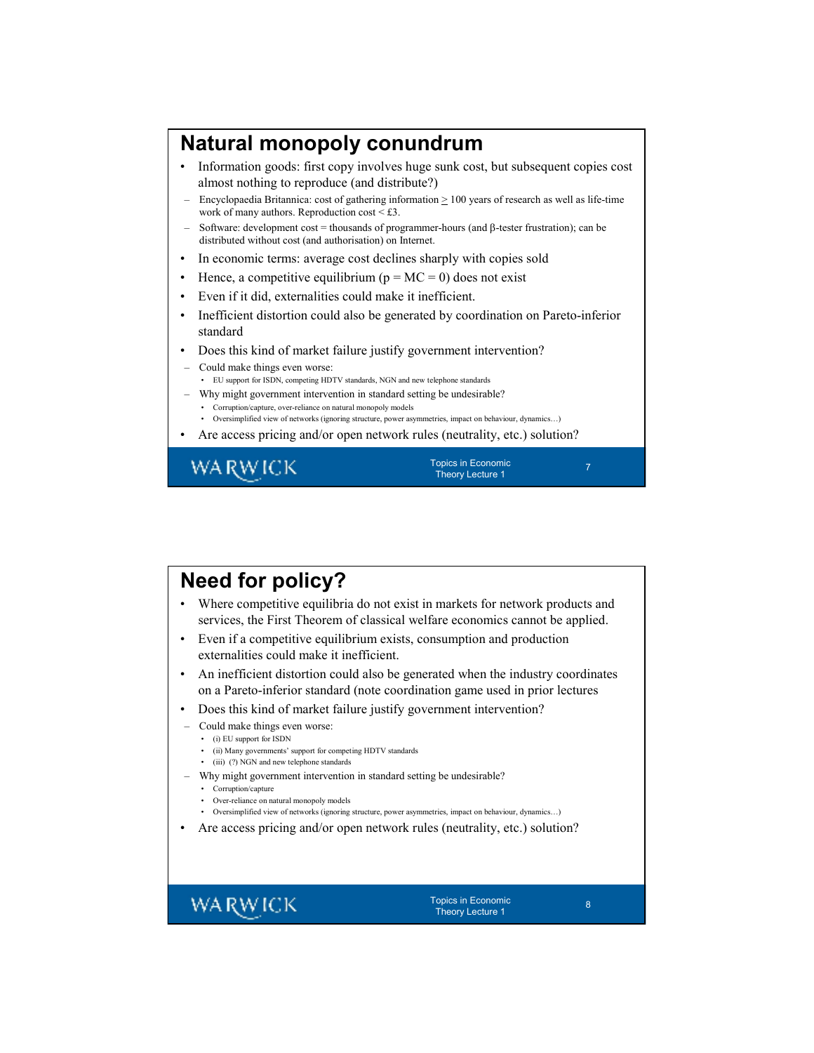# **Natural monopoly conundrum**

- Information goods: first copy involves huge sunk cost, but subsequent copies cost almost nothing to reproduce (and distribute?)
- Encyclopaedia Britannica: cost of gathering information  $\geq 100$  years of research as well as life-time work of many authors. Reproduction cost  $\leq$  £3.
- Software: development cost = thousands of programmer-hours (and β-tester frustration); can be distributed without cost (and authorisation) on Internet.
- In economic terms: average cost declines sharply with copies sold
- Hence, a competitive equilibrium ( $p = MC = 0$ ) does not exist
- Even if it did, externalities could make it inefficient.
- Inefficient distortion could also be generated by coordination on Pareto-inferior standard
- Does this kind of market failure justify government intervention?
- Could make things even worse: • EU support for ISDN, competing HDTV standards, NGN and new telephone standards – Why might government intervention in standard setting be undesirable?
- Corruption/capture, over-reliance on natural monopoly models • Oversimplified view of networks (ignoring structure, power asymmetries, impact on behaviour, dynamics…)
- Are access pricing and/or open network rules (neutrality, etc.) solution?

WA RW ICK

Topics in Economic Theory Lecture 1

# **Need for policy?**

- Where competitive equilibria do not exist in markets for network products and services, the First Theorem of classical welfare economics cannot be applied.
- Even if a competitive equilibrium exists, consumption and production externalities could make it inefficient.
- An inefficient distortion could also be generated when the industry coordinates on a Pareto-inferior standard (note coordination game used in prior lectures
- Does this kind of market failure justify government intervention?
	- Could make things even worse:
	- (i) EU support for ISDN
		- (ii) Many governments' support for competing HDTV standards
		- (iii) (?) NGN and new telephone standards
- Why might government intervention in standard setting be undesirable?
	- Corruption/capture
	- Over-reliance on natural monopoly models
	- Oversimplified view of networks (ignoring structure, power asymmetries, impact on behaviour, dynamics…)
- Are access pricing and/or open network rules (neutrality, etc.) solution?

**WARWICK** 

Topics in Economic Theory Lecture 1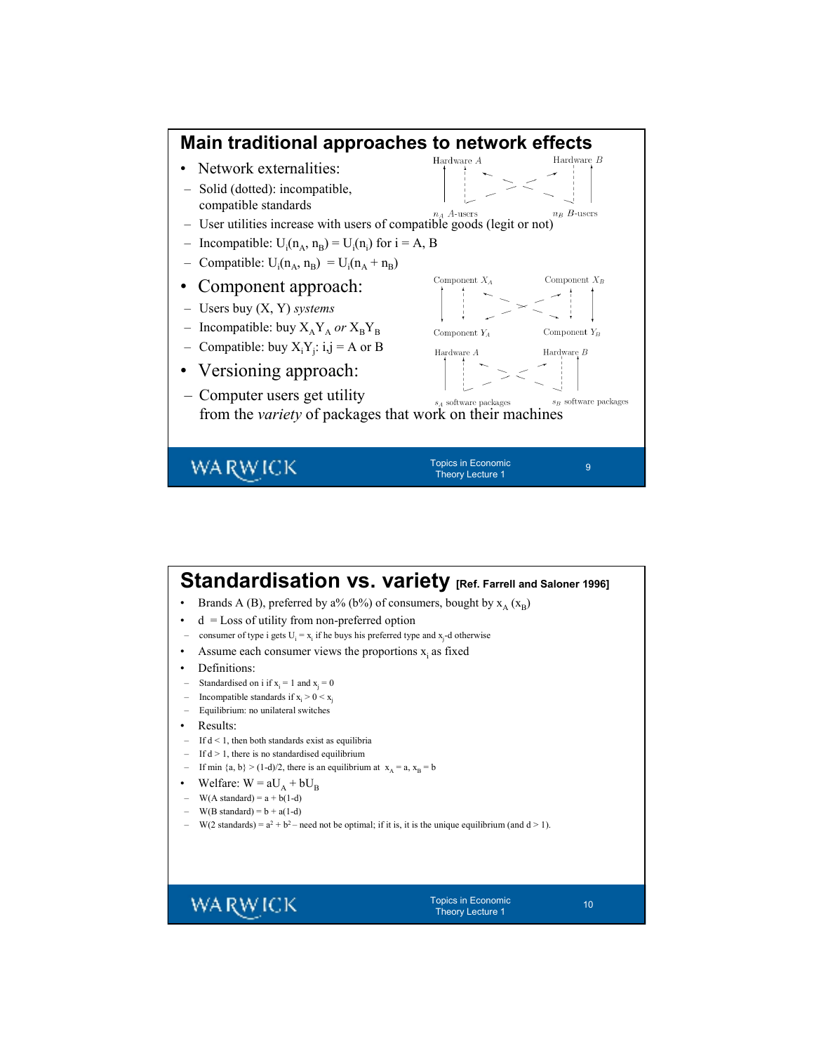

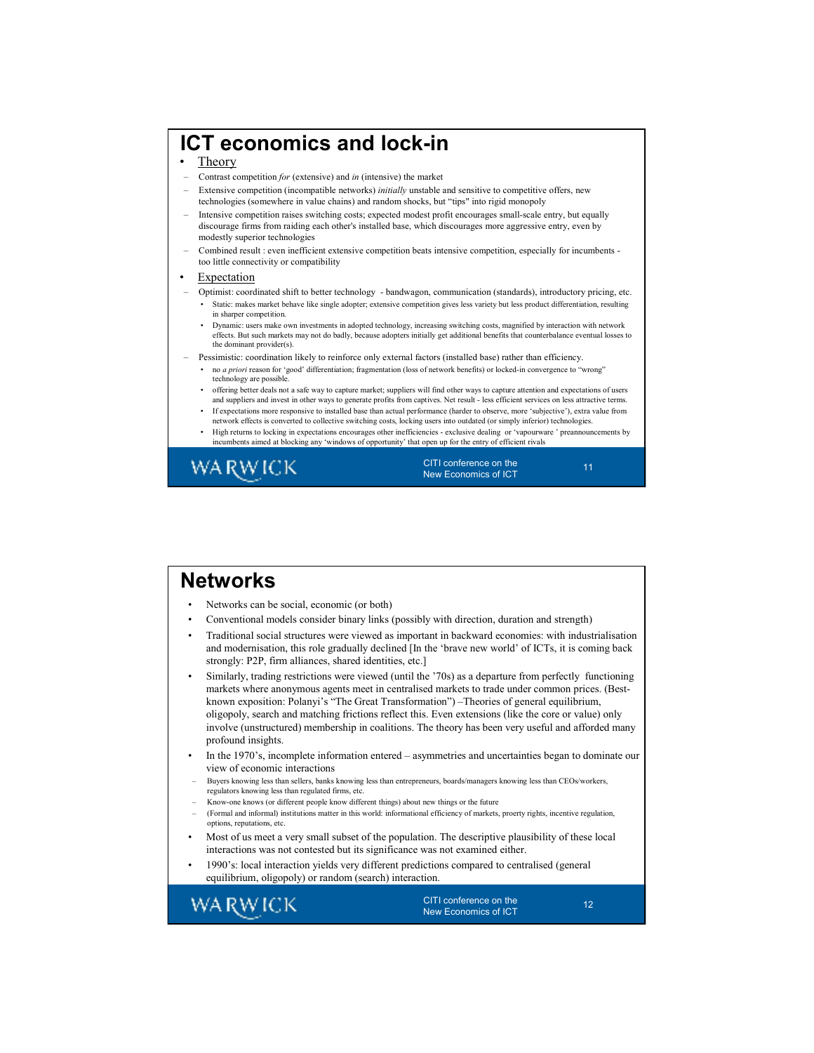# **ICT economics and lock-in**

#### • Theory

- Contrast competition *for* (extensive) and *in* (intensive) the market
- Extensive competition (incompatible networks) *initially* unstable and sensitive to competitive offers, new technologies (somewhere in value chains) and random shocks, but "tips" into rigid monopoly
- Intensive competition raises switching costs; expected modest profit encourages small-scale entry, but equally discourage firms from raiding each other's installed base, which discourages more aggressive entry, even by modestly superior technologies
- Combined result : even inefficient extensive competition beats intensive competition, especially for incumbents too little connectivity or compatibility

#### **Expectation**

- Optimist: coordinated shift to better technology bandwagon, communication (standards), introductory pricing, etc. • Static: makes market behave like single adopter; extensive competition gives less variety but less product differentiation, resulting in sharper competition.
	- Dynamic: users make own investments in adopted technology, increasing switching costs, magnified by interaction with network effects. But such markets may not do badly, because adopters initially get additional benefits that counterbalance eventual losses to the dominant provider(s).
- Pessimistic: coordination likely to reinforce only external factors (installed base) rather than efficiency.
	- no *a priori* reason for 'good' differentiation; fragmentation (loss of network benefits) or locked-in convergence to "wrong" technology are possible.
	- offering better deals not a safe way to capture market; suppliers will find other ways to capture attention and expectations of users and suppliers and invest in other ways to generate profits from captives. Net result - less efficient services on less attractive terms. • If expectations more responsive to installed base than actual performance (harder to observe, more 'subjective'), extra value from
	- network effects is converted to collective switching costs, locking users into outdated (or simply inferior) technologies.
	- High returns to locking in expectations encourages other inefficiencies exclusive dealing or 'vapourware ' preannouncements by incumbents aimed at blocking any 'windows of opportunity' that open up for the entry of efficient rivals



CITI conference on the New Economics of ICT

11

### **Networks**

- Networks can be social, economic (or both)
- Conventional models consider binary links (possibly with direction, duration and strength)
- Traditional social structures were viewed as important in backward economies: with industrialisation and modernisation, this role gradually declined [In the 'brave new world' of ICTs, it is coming back strongly: P2P, firm alliances, shared identities, etc.]
- Similarly, trading restrictions were viewed (until the '70s) as a departure from perfectly functioning markets where anonymous agents meet in centralised markets to trade under common prices. (Bestknown exposition: Polanyi's "The Great Transformation") –Theories of general equilibrium, oligopoly, search and matching frictions reflect this. Even extensions (like the core or value) only involve (unstructured) membership in coalitions. The theory has been very useful and afforded many profound insights.
- In the 1970's, incomplete information entered asymmetries and uncertainties began to dominate our view of economic interactions
- Buyers knowing less than sellers, banks knowing less than entrepreneurs, boards/managers knowing less than CEOs/workers, regulators knowing less than regulated firms, etc.
- Know-one knows (or different people know different things) about new things or the future
- (Formal and informal) institutions matter in this world: informational efficiency of markets, proerty rights, incentive regulation, options, reputations, etc.
- Most of us meet a very small subset of the population. The descriptive plausibility of these local interactions was not contested but its significance was not examined either.
- 1990's: local interaction yields very different predictions compared to centralised (general equilibrium, oligopoly) or random (search) interaction.

**WARWICK** 

CITI conference on the New Economics of ICT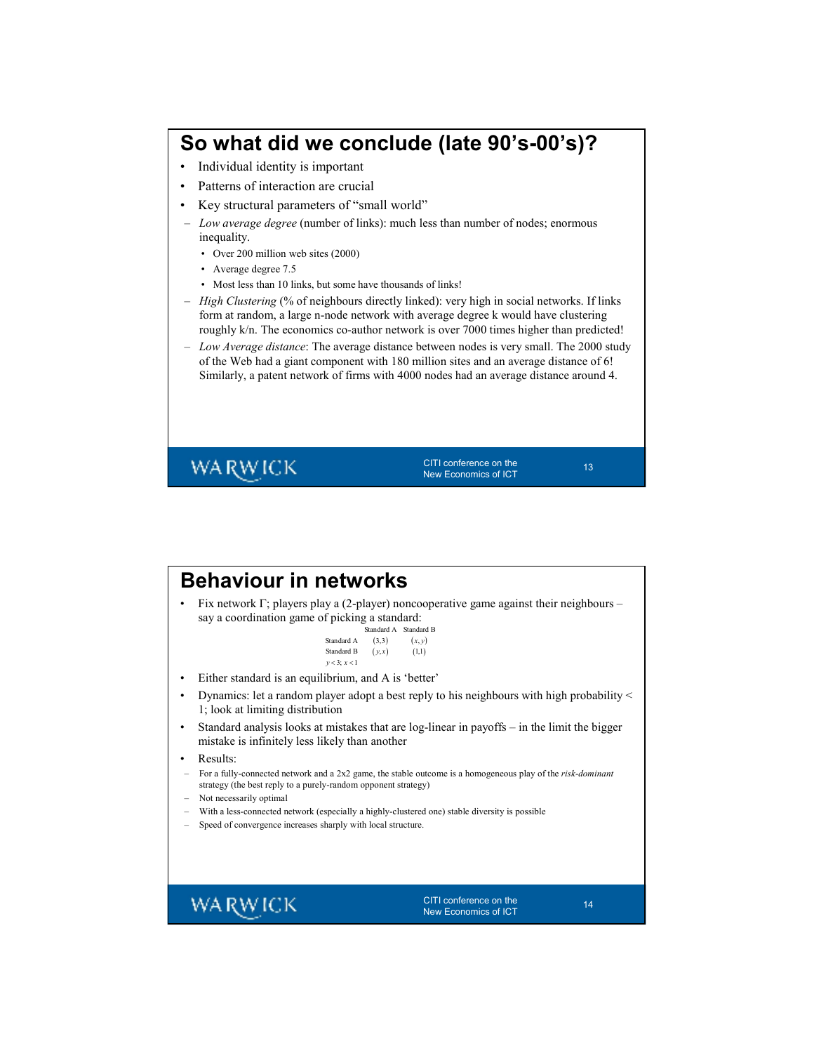# **So what did we conclude (late 90's-00's)?**

- Individual identity is important
- Patterns of interaction are crucial
- Key structural parameters of "small world"
- *Low average degree* (number of links): much less than number of nodes; enormous inequality.
	- Over 200 million web sites (2000)
	- Average degree 7.5
	- Most less than 10 links, but some have thousands of links!
- *High Clustering* (% of neighbours directly linked): very high in social networks. If links form at random, a large n-node network with average degree k would have clustering roughly k/n. The economics co-author network is over 7000 times higher than predicted!
- *Low Average distance*: The average distance between nodes is very small. The 2000 study of the Web had a giant component with 180 million sites and an average distance of 6! Similarly, a patent network of firms with 4000 nodes had an average distance around 4.

**WARWICK** 

CITI conference on the New Economics of ICT

| <b>Behaviour in networks</b><br>say a coordination game of picking a standard: | Fix network $\Gamma$ ; players play a (2-player) noncooperative game against their neighbours –<br>Standard A Standard B |
|--------------------------------------------------------------------------------|--------------------------------------------------------------------------------------------------------------------------|
| Standard A<br>Standard B<br>$v < 3$ ; $x < 1$                                  | (3,3)<br>(x, y)<br>(y,x)<br>(1,1)                                                                                        |
| Either standard is an equilibrium, and A is 'better'                           |                                                                                                                          |
| 1; look at limiting distribution                                               | Dynamics: let a random player adopt a best reply to his neighbours with high probability <                               |
| ٠<br>mistake is infinitely less likely than another                            | Standard analysis looks at mistakes that are log-linear in payoffs - in the limit the bigger                             |
| Results:<br>٠                                                                  |                                                                                                                          |
| strategy (the best reply to a purely-random opponent strategy)                 | For a fully-connected network and a 2x2 game, the stable outcome is a homogeneous play of the risk-dominant              |
| Not necessarily optimal                                                        |                                                                                                                          |
|                                                                                | With a less-connected network (especially a highly-clustered one) stable diversity is possible                           |
| Speed of convergence increases sharply with local structure.                   |                                                                                                                          |
| 7A RW ICK                                                                      | CITI conference on the<br>14<br><b>New Economics of ICT</b>                                                              |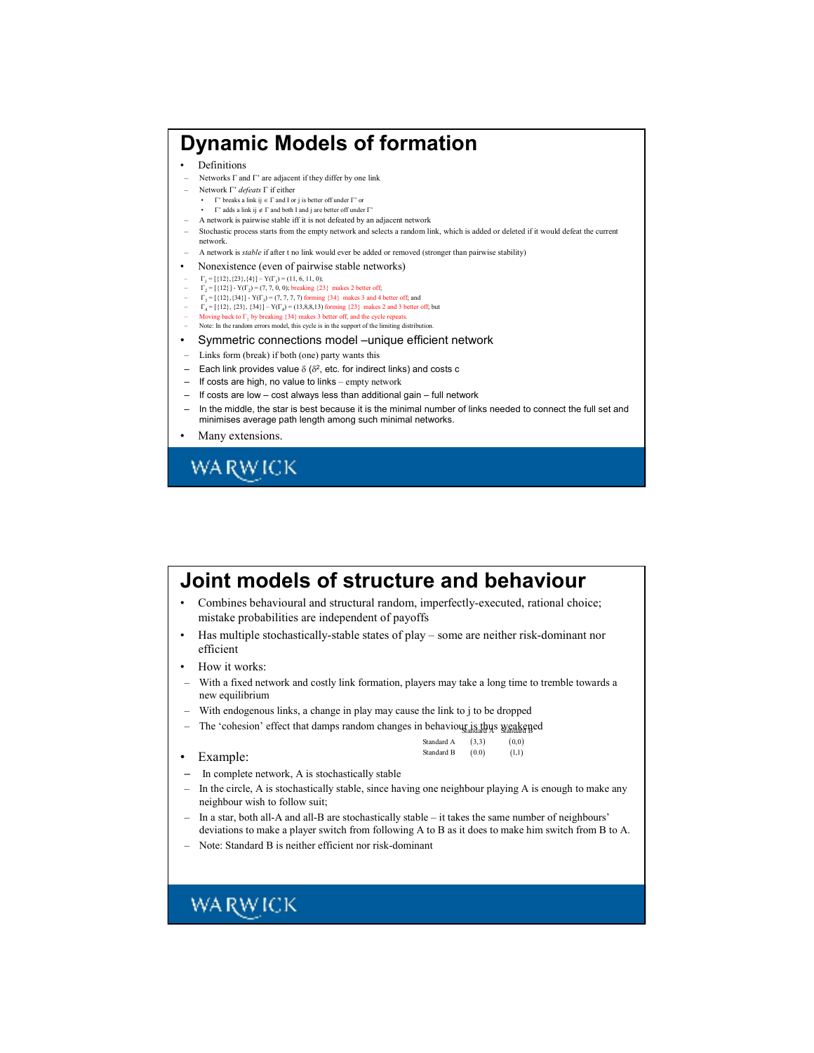#### **Dynamic Models of formation** • Definitions – Networks Γ and Γ' are adjacent if they differ by one link – Network Γ' *defeats* Γ if either • Γ' breaks a link ij  $\in \Gamma$  and I or j is better off under  $\Gamma'$  or • Γ' adds a link ij ∉ Γ and both I and j are better off under Γ' – A network is pairwise stable iff it is not defeated by an adjacent network – Stochastic process starts from the empty network and selects a random link, which is added or deleted if it would defeat the current network. – A network is *stable* if after t no link would ever be added or removed (stronger than pairwise stability) • Nonexistence (even of pairwise stable networks)  $\begin{aligned} \Gamma_1 &= \{ \{12\}, \{23\}, \{4\} \} - Y(\Gamma_1) = (11, 6, 11, 0); \\ \Gamma_2 &= \{ \{12\} \} - Y(\Gamma_2) = (7, 7, 0, 0); \text{ breaking } \{23\} \text{ makes 2 better off}; \end{aligned}$  $\Gamma_3 = [{12}, {34}] - Y(\Gamma_3) = (7, 7, 7, 7)$  forming {34} makes 3 and 4 better off; and  $\Gamma_4 = [{12}, {23}, {34}] - Y(\Gamma_4) = (13, 8, 8, 13)$  forming {23} makes 2 and 3 better off; but - Moving back to  $\Gamma_1$  by breaking {34} makes 3 better off, and the cycle repeats. – Note: In the random errors model, this cycle is in the support of the limiting distribution. • Symmetric connections model –unique efficient network – Links form (break) if both (one) party wants this  $-$  Each link provides value  $\delta$  ( $\delta$ <sup>2</sup>, etc. for indirect links) and costs c – If costs are high, no value to links – empty network – If costs are low – cost always less than additional gain – full network – In the middle, the star is best because it is the minimal number of links needed to connect the full set and minimises average path length among such minimal networks. • Many extensions. **WARWICK**

| Joint models of structure and behaviour                                                                                                                                                                    |  |
|------------------------------------------------------------------------------------------------------------------------------------------------------------------------------------------------------------|--|
| Combines behavioural and structural random, imperfectly-executed, rational choice;<br>mistake probabilities are independent of payoffs                                                                     |  |
| Has multiple stochastically-stable states of play – some are neither risk-dominant nor<br>٠<br>efficient                                                                                                   |  |
| How it works:<br>٠                                                                                                                                                                                         |  |
| With a fixed network and costly link formation, players may take a long time to tremble towards a<br>new equilibrium                                                                                       |  |
| With endogenous links, a change in play may cause the link to j to be dropped                                                                                                                              |  |
| The 'cohesion' effect that damps random changes in behaviour is thus weakened                                                                                                                              |  |
| Standard A<br>(3,3)<br>(0,0)                                                                                                                                                                               |  |
| Standard B<br>(0.0)<br>(1,1)<br>Example:                                                                                                                                                                   |  |
| In complete network, A is stochastically stable                                                                                                                                                            |  |
| In the circle, A is stochastically stable, since having one neighbour playing A is enough to make any<br>neighbour wish to follow suit;                                                                    |  |
| In a star, both all-A and all-B are stochastically stable – it takes the same number of neighbours'<br>deviations to make a player switch from following A to B as it does to make him switch from B to A. |  |
| Note: Standard B is neither efficient nor risk-dominant                                                                                                                                                    |  |
|                                                                                                                                                                                                            |  |
|                                                                                                                                                                                                            |  |
| WA RW ICK                                                                                                                                                                                                  |  |